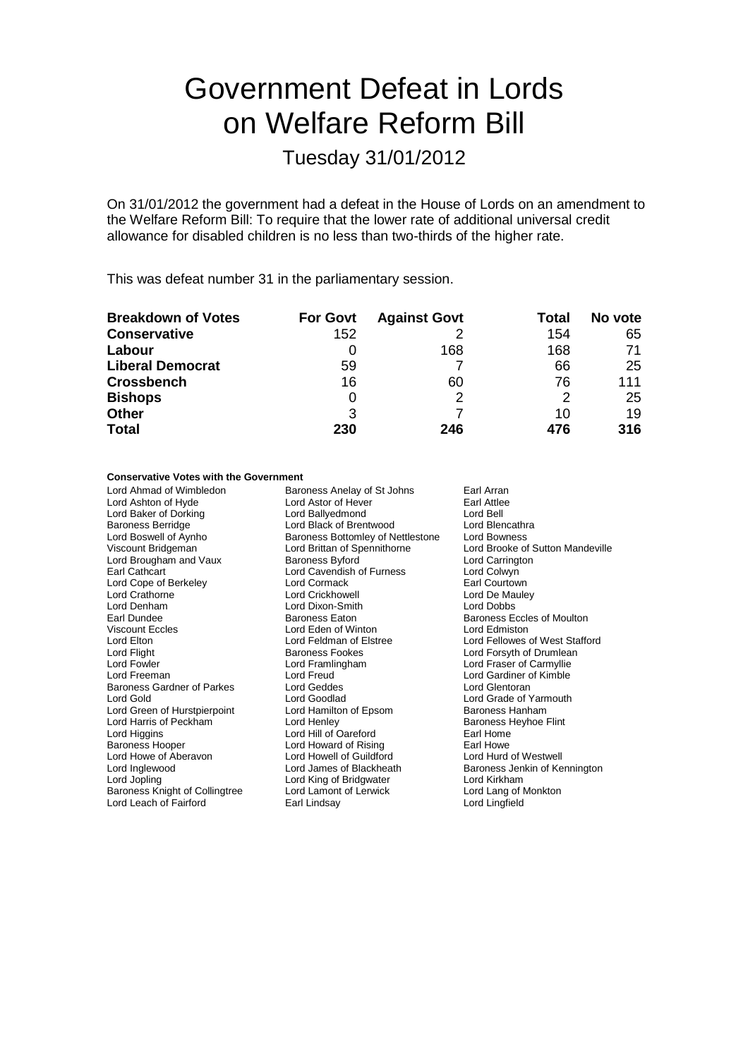# Government Defeat in Lords on Welfare Reform Bill

#### Tuesday 31/01/2012

On 31/01/2012 the government had a defeat in the House of Lords on an amendment to the Welfare Reform Bill: To require that the lower rate of additional universal credit allowance for disabled children is no less than two-thirds of the higher rate.

This was defeat number 31 in the parliamentary session.

| <b>Breakdown of Votes</b> | <b>For Govt</b> | <b>Against Govt</b> | Total | No vote |
|---------------------------|-----------------|---------------------|-------|---------|
| <b>Conservative</b>       | 152             |                     | 154   | 65      |
| Labour                    |                 | 168                 | 168   | 71      |
| <b>Liberal Democrat</b>   | 59              |                     | 66    | 25      |
| <b>Crossbench</b>         | 16              | 60                  | 76    | 111     |
| <b>Bishops</b>            | 0               |                     | 2     | 25      |
| <b>Other</b>              | 3               |                     | 10    | 19      |
| <b>Total</b>              | 230             | 246                 | 476   | 316     |

#### **Conservative Votes with the Government**

Lord Ahmad of Wimbledon Baroness Anelay of St Johns Earl Arran<br>
Lord Astor of Hever Earl Attlee Lord Ashton of Hyde **Lord Astor of Hever** Earl Attlee<br>
Lord Baker of Dorking **Corporation**<br>
Lord Ballvedmond Lord Bell Lord Baker of Dorking **Lord Ballyedmond** Cord Ballyedmond Lord Bell<br>
Baroness Berridge **Lord Back of Brentwood** Lord Blencathra Baroness Berridge **Lord Black of Brentwood** Lord Blencathr<br>
Lord Boswell of Aynho **Lord Baroness Bottomley of Nettlestone** Lord Bowness Lord Boswell of Aynho Baroness Bottomley of Nettlestone<br>
Viscount Bridgeman Lord Brittan of Spennithorne Lord Brougham and Vaux Baroness Byford Brougham and Vaux Baroness Byford Lord Carrington Lord Colwyn Lord Cope of Berkeley Lord Crathorne Lord Crickhowell Lord De Mauley Lord Denham Lord Dixon-Smith Lord Dixon-Smith Earl Dundee Earl Dundee **Baroness Eaton** Baroness Eaton Baroness Eccles of Moulton<br>
Viscount Eccles **Baroness Eccles** Correspondence and Baroness Eccles of Moulton Viscount Eccles Lord Eden of Winton<br>
Lord Elton Lord Elstree Lord Elton Lord Feldman of Elstree Lord Fellowes of West Stafford<br>
Lord Fight Cord Fellowes Fookes
Lord Forsyth of Drumlean Lord Flight **Baroness Fookes** Lord Forsyth of Drumlean<br>Lord Form Lord Forsyth Cord Frame Lord Framingham<br>Lord Forsyther Carmyllie Lord Freeman Lord Freud Lord Gardiner of Kimble Baroness Gardner of Parkes Lord Geddes<br>
Lord Gold<br>
Lord Goodlad Lord Green of Hurstpierpoint Lord Hamilton of Epsom Baroness Hanham<br>
Lord Harris of Peckham Lord Henley Cord Henley Baroness Heyhoe Flint Lord Harris of Peckham Lord Henley Lord Henrich Baroness Headler Baroness Heyhor Baroness Heyhor Earl Home Fli<br>
Lord Hill of Oareford Flint Home Lord Higgins **Communist Lord Hill of Oareford** Earl Home<br>
Baroness Hooper **Communist Lord Howard of Rising** Earl Howe Lord Howe of Aberavon Lord Howell of Guildford<br>
Lord Inglewood Lord James of Blackheath Lord Inglewood **Lord James of Blackheath** Baroness Jenkin of Kennington<br>
Lord Jopling Cord King of Bridgwater **Lord Kirkham** Baroness Knight of Collingtree Lord Lamont of Lerwick Lord Lang of Monte Lord Lang of Monte Lord Lingfield<br>
Lord Leach of Fairford Lord Lingfield Lord Leach of Fairford

Lord Brittan of Spennithorne Lord Brooke of Sutton Mandeville<br>
Baroness Byford Carrington Lord Cavendish of Furness Lord Colwyn<br>Lord Cormack Lord Courtown Lord Framlingham Lord Fraser of Carmyllie<br>
Lord Freud Lord Gardiner of Kimble Lord Goodlad **Lord Grade of Yarmouth**<br>
Lord Hamilton of Epsom Baroness Hanham Lord Howard of Rising<br>
Lord Howell of Guildford<br>
Lord Hurd of Westwell Lord King of Bridgwater **Lord Kirkham**<br>
Lord Lamont of Lerwick **Lord Lang of Monkton**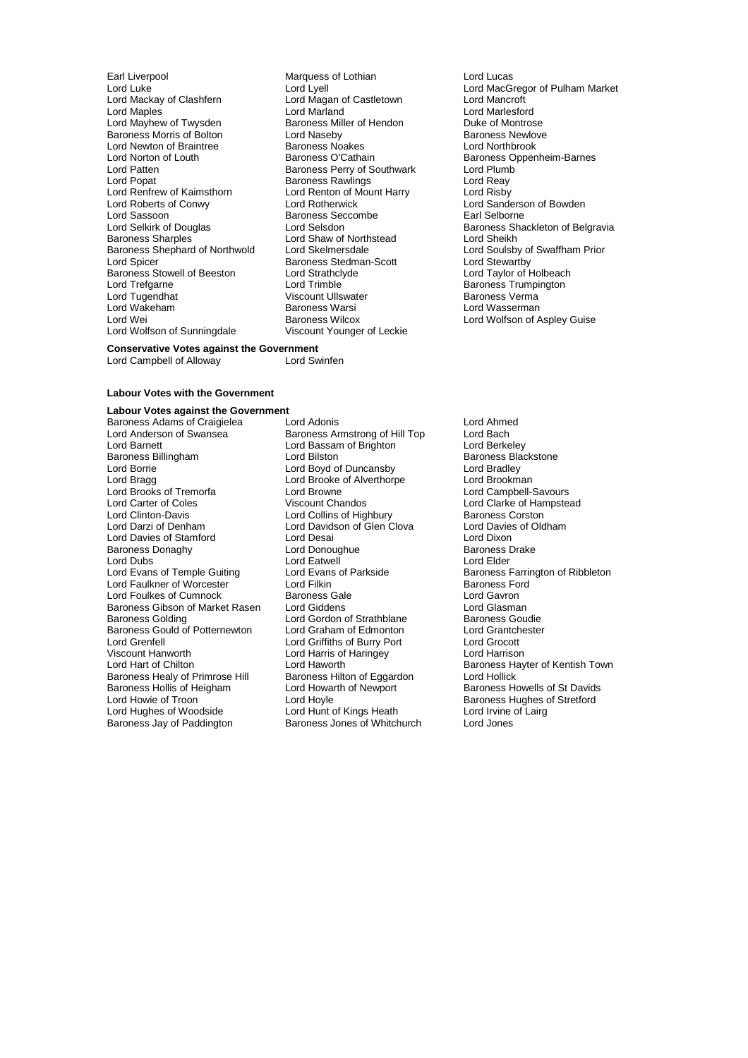Earl Liverpool **Earl Liverpool** Marquess of Lothian **Lord Lucas**<br>
Lord Luke Lord Lord Lord Lord Lord Lord Lord MacG Lord Mackay of Clashfern **Lord Magan of Clashfern** Class Lord Magan of Lord Marland Lord Maples<br>
Lord Marlesford<br>
Lord Mayhew of Twysden<br>
Baroness Miller of Hendon<br>
Duke of Montrose Baroness Morris of Bolton **Baroness II** Lord Naseby **Baroness Newlove Baroness Newlove Correspondent** Lord Northbrook<br>Lord Newton of Braintree **Baroness Neakes** Baroness Neakes Lord Newton of Braintree Baroness Noakes<br>
Lord Norton of Louth<br>
Baroness O'Cathain Lord Norton of Louth **Baroness O'Cathain** Baroness Oppenheim-Barnes<br>
Lord Patten **Baroness Perry of Southwark** Lord Plumb Lord Patten **Baroness Perry of Southwark** Lord Plumb Lord Power<br>
Baroness Rawlings Lord Reay Lord Renfrew of Kaimsthorn Lord Renton of N<br>
Lord Roberts of Conwy Lord Rotherwick Lord Roberts of Conwy Lord Rotherwick Lord Cord Cord Sanderson of Bowden<br>
Lord Sassoon **Lord Rotherwick** Lord Sanderson Bowden Lord Sassoon Baroness Seccombe<br>
Lord Selskirk of Douglas<br>
Lord Selsdon Lord Selkirk of Douglas **Lord Selsdon** Lord Selsdon Baroness Shackleton of Belgravia<br>
Baroness Sharples **Baroness** Sharples **Lord Shaw of Northstead** Lord Sheikh Baroness Sharples<br>
Baroness Shephard of Northwold
Lord Skelmersdale<br>
Lord Skelmersdale Baroness Shephard of Northwold Lord Skelmersdale Lord Soulsby of Swaffham Prior<br>
Lord Stedman-Scott Lord Stewartby<br>
Baroness Stowell of Beeston Lord Strathclyde Lord Taylor of Holbeach Baroness Stowell of Beeston Lord Strathcly<br>
Lord Trefgarne Lord Trimble Lord Trefgarne **Lord Trimble** Lord Trimble **Baroness Trumpington**<br>
Lord Tugendhat **Accommon Construct Constructs** Correspondences Verma Lord Wakeham Baroness Warsi Lord Wakeham<br>1992 - Lord Wei Lord Wolfson of Sunningdale

**Example Baroness Miller of Hendon** Duke of Montrose<br>
Lord Naseby<br>
Daroness Newlove Exaroness Rawlings<br>
Lord Renton of Mount Harry Lord Risby<br>
Lord Risby Baroness Stedman-Scott<br>Lord Strathclyde Viscount Ullswater **Charlotte Baroness Verman**<br>Baroness Warsi **Baroness Verman** Baroness Wilcox **Lord Wolfson of Aspley Guise**<br>Viscount Younger of Leckie **Conservative Votes against the Government**<br>Lord Campbell of Alloway Lord Swinfen

Lord Lyell<br>
Lord Maaan of Castletown<br>
Lord Mancroft<br>
Lord Mancroft

#### **Labour Votes with the Government**

Lord Campbell of Alloway

**Labour Votes against the Government**

Lord Anderson of Swansea **Baroness Armstrong of Hill Top** Lord Bach<br>
Lord Barnett Lord Bach Lord Bassam of Brighton Lord Berkeley Lord Barnett Lord Bassam of Brighton<br>
Baroness Billingham<br>
Lord Bilston Baroness Billingham **Example 2** Lord Bilston Baroness Blackstone<br>
Lord Baroness Blackstone<br>
Lord Baroness Blackstone<br>
Lord Baroness Blackstone Lord Boyd of Duncansby Lord Boyd of Duncansby Lord Bradley<br>
Lord Brada Lord Brooke of Alverthorpe Lord Brookman Lord Brooks of Tremorfa<br>
Lord Carter of Coles<br>
Viscount Chandos Lord Carter of Coles<br>
Lord Clarke of Hampstead<br>
Lord Clarke of Hampstead<br>
Lord Collins of Highbury<br>
Baroness Corston Lord Clinton-Davis **Lord Collins of Highbury** Baroness Corston<br>
Lord Darzi of Denham **Baroness** Lord Davidson of Glen Clova Lord Davies of Oldham Lord Davies of Stamford Lord Desai Lord Desai Cord Dixon<br>
Baroness Donaghy Cord Donoughue Cord Donoughue Baroness Drake Baroness Donaghy **Lord Donoughue Baroness Baroness Baroness I**<br> **Baroness Donaghy Lord Eatwell** Cord Eatwell **Drake** Baroness Drake Brider Lord Dubs<br>
Lord Evans of Temple Guiting<br>
Lord Evans of Parkside Lord Faulkner of Worcester **Lord Filkin** Lord Filkin Baroness Ford Foulkes of Cumnock Baroness Gale **Communist Example Service Communist Example Service Communist Example Service Communist Example Service Communist Communi** Lord Foulkes of Cumnock and Baroness Gale Corresponding Lord Gavron<br>Baroness Gibson of Market Rasen Lord Giddens Corresponding Lord Glasman Baroness Gibson of Market Rasen Lord Giddens (and Ghasman Lord Glasman Lord Glasman Lord Giddens Lord Gordon o<br>Baroness Golding (Lord Gordon of Strathblane Baroness Goudie Baroness Golding The Lord Gordon of Strathblane Baroness Goudie Baroness Gould of Potternewton Lord Graham of Edmonton Lord Grantchester Lord Grenfell Lord Griffiths of Burry Port Lord Grocott Viscount Hanworth Lord Harris of Haringey<br>
Lord Harrison Lord Haworth Baroness Healy of Primrose Hill Baroness Hilton of Eggard<br>Baroness Hollis of Heigham Lord Howarth of Newport Baroness Hollis of Heigham Lord Howarth of Newport Baroness Howells of St Davids<br>
Lord Howie of Troon Lord Hoyle Cord Hovels Baroness Hughes of Stretford Lord Hughes of Woodside Lord Hunt of Kings Heath Lord Irvine of Lairg<br>
Baroness Jay of Paddington Baroness Jones of Whitchurch Lord Jones

Baroness Adams of Craigielea Lord Adonis<br>
Lord Anderson of Swansea Baroness Armstrong of Hill Top Lord Bach Lord Brooke of Alverthorpe Lord Brookman<br>Lord Browne Lord Campbell-Savours Lord Davidson of Glen Clova Lord Davies Lord Davies of Glen Clova Lord Davies of Oldham Lord Dixon Lord Hoyle<br>
Lord Hunt of Kings Heath Lord Irvine of Lairg<br>
Lord Irvine of Lairg Baroness Jones of Whitchurch

Lord Evans of Parkside Guiting Baroness Farrington of Ribbleton<br>
Lord Filkin Cord Baroness Ford Lord Haworth **Exercise 1 Chilton** Baroness Hayter of Kentish Town<br>Baroness Hilton of Eggardon **Baroness Hayter** Lord Hollick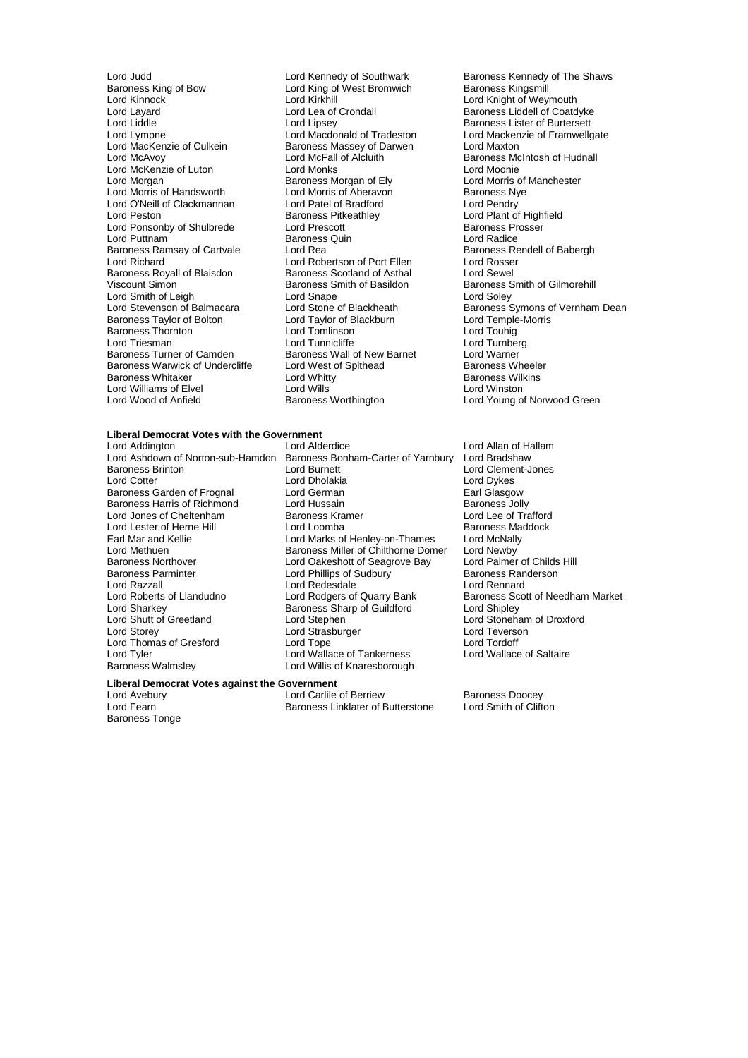Lord Judd<br>
Lord Kennedy of Southwark Baroness Kennedy of The Shaws<br>
Baroness Kings of Bow<br>
Lord King of West Bromwich Baroness Kingsmill Baroness King of Bow Lord King of West Bromwich<br>
Lord Kinnock<br>
Lord Kirkhill Lord Kinnock Lord Kirkhill Lord Knight of Weymouth<br>
Lord Layard Lord Lord Lea of Crondall Baroness Liddell of Coatd Lord Layard Lord Lea of Crondall Baroness Liddell of Coatdyke<br>
Lord Liddle Lord Lipsey Lord Baroness Lister of Burtersett Lord Liddle Lord Lipsey Lord Lipsey Baroness Lister of Burtersett<br>Lord Lympne Lord Macdonald of Tradeston Lord Mackenzie of Framwello Lord Lympne Lord Macdonald of Tradeston Lord Mackenzie of Framwellgate<br>
Lord MacKenzie of Culkein Baroness Massey of Darwen Lord Maxton Lord MacKenzie of Culkein Baroness Massey of Darwen<br>Lord McAvoy Lord McFall of Alcluith Lord McKenzie of Luton **Lord Monks** Lord Moonie<br>
Lord Moraan **Lord Monks** Baroness Morgan of Ely **Lord Morris of Manchester** Lord Morgan burgan Baroness Morgan of Ely Lord Morris of<br>
Lord Morris of Handsworth Lord Morris of Aberavon Baroness Nye Lord O'Neill of Clackmannan Lord Patel of Bradford<br>
Lord Peston Clackmannan Baroness Pitkeathley Lord Ponsonby of Shulbrede Lord Prescott **Baroness Provide Lord Prescott** Baroness Provide Baroness Provide Baroness Provide Baroness Provide Baroness Provide Baroness Provide Baroness Provide Baroness Provide Baroness Pro Lord Puttnam **Communist Communist Communist Communist Communist Communist Communist Communist Communist Communist Communist Communist Communist Communist Communist Communist Communist Communist Communist Communist Communis** Baroness Ramsay of Cartvale Lord Rea Baroness Rendels Rendell Baroness Rendell Cord Robertson of Port Ellen Lord Rosser Baroness Royall of Blaisdon Baroness Scotland of Asthal<br>Viscount Simon Baroness Smith of Basildon Lord Smith of Leigh Lord Snape<br>
Lord Stevenson of Balmacara Lord Stone of Blackheath Baroness Taylor of Bolton Lord Taylor of Blackburn Cord Temple-<br>Baroness Thornton Cord Tomlinson Lord Tomlinson Lord Touhig Baroness Thornton Lord Tomlinson Lord Touhig Lord Triesman **Lord Tunnicliffe** Lord Tunnicliffe Lord Turnber<br>Baroness Turner of Camden Baroness Wall of New Barnet Lord Warner Baroness Warwick of Undercliffe Lord West of Spithead Baroness Wheele<br>Baroness Whitaker Lord Whitty Lord Whitty Baroness Wilkins er Baroness Whitaker **Lord Whitty Community Community** Baroness Will<br>
Lord Williams of Elvel **Lord Williams** Lord Wills Lord Williams of Elvel Lord Wills<br>
Lord Wood of Anfield<br>
Baroness Worthington

Lord Morris of Aberavon<br>
Lord Patel of Bradford Lord Pendry Baroness Pitkeathley **Lord Plant of Highfield**<br>
Lord Prescott **Baroness Prosser** Lord Robertson of Port Ellen Lord Rosse<br>Baroness Scotland of Asthal Lord Sewel Baroness Wall of New Barnet Lord Warner Lord West of Spithead Baroness Wheeler

## **Liberal Democrat Votes with the Government**

Lord Razzall<br>
Lord Roberts of Llandudno<br>
Lord Rodgers of Quarry Bank Lord Sharkey Baroness Sharp of Guildford<br>
Lord Shutt of Greetland<br>
Lord Stephen Lord Tyler Lord Wallace of Tankerness<br>
Baroness Walmsley Lord Willis of Knaresborough

Lord Ashdown of Norton-sub-Hamdon Baroness Bonham-Carter of Yarnbury<br>
Lord Burnett Baroness Brinton **Example 2** Lord Burnett **Lord Clement-Jones**<br>
Lord Cotter Lord Cotter Lord Drukes Lord Dholakia<br>
Lord German<br>
Lord German<br>
Larl Glasgow Baroness Garden of Frognal Lord German Communication and Casgow<br>Baroness Harris of Richmond Lord Hussain Communication Baroness Jolly Baroness Harris of Richmond Lord Hussain Lord Hussain Baroness Jolly<br>
Lord Jones of Cheltenham Baroness Kramer Lord Lee of Trafford Lord Jones of Cheltenham Baroness Kramer Lord Lee of Trafford<br>
Lord Lester of Herne Hill Lord Lord Loomba<br>
Baroness Maddock Lord Lester of Herne Hill Lord Loomba<br>
Earl Mar and Kellie Cord Marks of Henley-on-Thames Lord McNally Earl Mar and Kellie **Lord Marks of Henley-on-Thames** Lord McNally<br>Lord Methuen Lord Mewby **Contains Baroness Miller of Chilthorne Domer** Lord Newby Lord Methuen **Baroness Miller of Chilthorne Domer** Lord Newby<br>Baroness Northover **Baroness Hotel Contract Accept** Lord Palmer of Childs Hill Baroness Northover **Lord Oakeshott of Seagrove Bay** Lord Palmer of Childs Baroness Northover Lord Phillips of Sudbury **Hills Hills Hills Hills Hills Hills Hills Hills Hills Hills Hills Hills Hills Hills Hills Hills Hills H** Baroness Parminter **Reserve Constructs Constructs Lord Phillips of Sudbury Constructs Paroness Randers Constructs**<br>Cord Razzall Lord Rennard Lord Redesdale **Constructs Constructs** Lord Rennard Lord Roberts of Llandudno Lord Rodgers of Quarry Bank Baroness Scott of Needham Market<br>
Lord Sharkev<br>
Lord Shipley Lord Shutt of Greetland Lord Stephen Lord Stephen Lord Stoneham of Droxford<br>
Lord Stoneham of Droxford<br>
Lord Strasburger
Lord Ceverson Lord Strasburger Lord Teverson<br>
Lord Tope<br>
Lord Tordoff Lord Thomas of Gresford Lord Tope Cord Tope Lord Tordoff<br>
Lord Tyler Lord Tope Lord Wallace of Tankerness Lord Wallace of Saltaire Lord Willis of Knaresborough

### **Liberal Democrat Votes against the Government**

Baroness Tonge

Lord Avebury **Lord Carlile of Berriew** Baroness Doocey<br>
Lord Fearn Clifton Baroness Linklater of Butterstone Lord Smith of Clifton Baroness Linklater of Butterstone

Lord McFall of Alcluith Baroness McIntosh of Hudnall<br>
Lord Monks<br>
Lord Moonie Baroness Smith of Basildon<br>
Lord Snape<br>
Lord Soley<br>
Lord Soley Lord Stone of Blackheath Baroness Symons of Vernham Dean<br>Lord Taylor of Blackburn Lord Temple-Morris Lord Young of Norwood Green

Lord Allan of Hallam<br>Lord Bradshaw